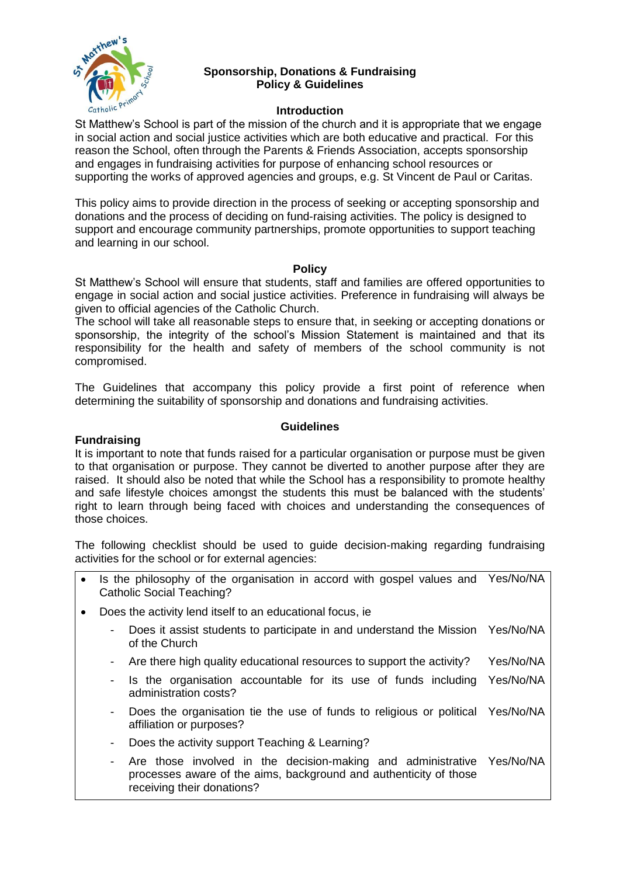

## **Sponsorship, Donations & Fundraising Policy & Guidelines**

### **Introduction**

St Matthew's School is part of the mission of the church and it is appropriate that we engage in social action and social justice activities which are both educative and practical. For this reason the School, often through the Parents & Friends Association, accepts sponsorship and engages in fundraising activities for purpose of enhancing school resources or supporting the works of approved agencies and groups, e.g. St Vincent de Paul or Caritas.

This policy aims to provide direction in the process of seeking or accepting sponsorship and donations and the process of deciding on fund-raising activities. The policy is designed to support and encourage community partnerships, promote opportunities to support teaching and learning in our school.

#### **Policy**

St Matthew's School will ensure that students, staff and families are offered opportunities to engage in social action and social justice activities. Preference in fundraising will always be given to official agencies of the Catholic Church.

The school will take all reasonable steps to ensure that, in seeking or accepting donations or sponsorship, the integrity of the school's Mission Statement is maintained and that its responsibility for the health and safety of members of the school community is not compromised.

The Guidelines that accompany this policy provide a first point of reference when determining the suitability of sponsorship and donations and fundraising activities.

### **Guidelines**

#### **Fundraising**

It is important to note that funds raised for a particular organisation or purpose must be given to that organisation or purpose. They cannot be diverted to another purpose after they are raised. It should also be noted that while the School has a responsibility to promote healthy and safe lifestyle choices amongst the students this must be balanced with the students' right to learn through being faced with choices and understanding the consequences of those choices.

The following checklist should be used to guide decision-making regarding fundraising activities for the school or for external agencies:

- Is the philosophy of the organisation in accord with gospel values and Yes/No/NA Catholic Social Teaching?
- Does the activity lend itself to an educational focus, ie
	- Does it assist students to participate in and understand the Mission Yes/No/NA of the Church
	- Are there high quality educational resources to support the activity? Yes/No/NA
	- Is the organisation accountable for its use of funds including Yes/No/NA administration costs?
	- Does the organisation tie the use of funds to religious or political Yes/No/NA affiliation or purposes?
	- Does the activity support Teaching & Learning?
	- Are those involved in the decision-making and administrative Yes/No/NAprocesses aware of the aims, background and authenticity of those receiving their donations?